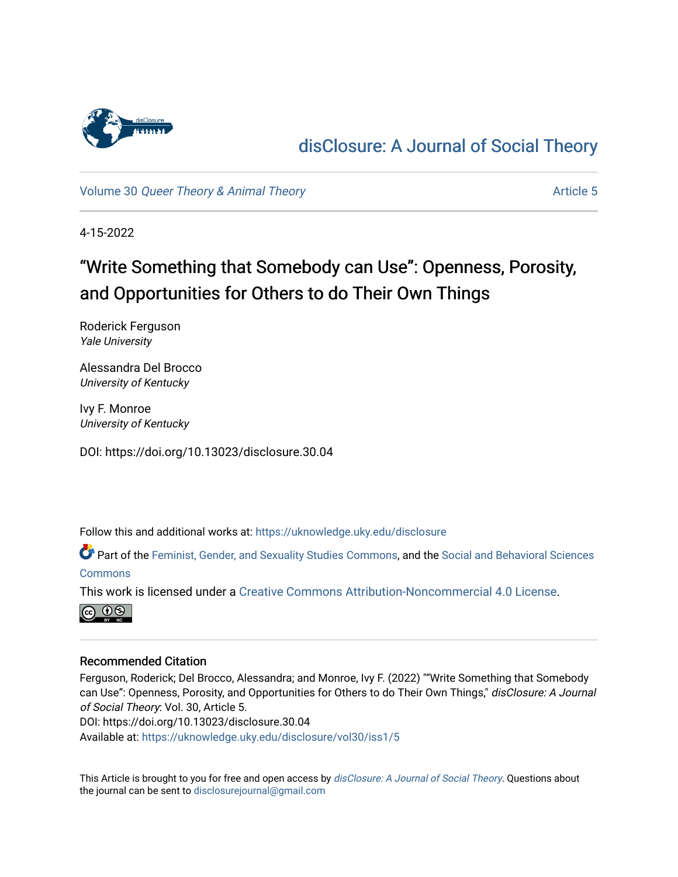

## [disClosure: A Journal of Social Theory](https://uknowledge.uky.edu/disclosure)

Volume 30 [Queer Theory & Animal Theory](https://uknowledge.uky.edu/disclosure/vol30) Article 5

4-15-2022

# "Write Something that Somebody can Use": Openness, Porosity, and Opportunities for Others to do Their Own Things

Roderick Ferguson Yale University

Alessandra Del Brocco University of Kentucky

Ivy F. Monroe University of Kentucky

DOI: https://doi.org/10.13023/disclosure.30.04

Follow this and additional works at: [https://uknowledge.uky.edu/disclosure](https://uknowledge.uky.edu/disclosure?utm_source=uknowledge.uky.edu%2Fdisclosure%2Fvol30%2Fiss1%2F5&utm_medium=PDF&utm_campaign=PDFCoverPages)

Part of the [Feminist, Gender, and Sexuality Studies Commons](http://network.bepress.com/hgg/discipline/559?utm_source=uknowledge.uky.edu%2Fdisclosure%2Fvol30%2Fiss1%2F5&utm_medium=PDF&utm_campaign=PDFCoverPages), and the [Social and Behavioral Sciences](http://network.bepress.com/hgg/discipline/316?utm_source=uknowledge.uky.edu%2Fdisclosure%2Fvol30%2Fiss1%2F5&utm_medium=PDF&utm_campaign=PDFCoverPages)  [Commons](http://network.bepress.com/hgg/discipline/316?utm_source=uknowledge.uky.edu%2Fdisclosure%2Fvol30%2Fiss1%2F5&utm_medium=PDF&utm_campaign=PDFCoverPages)

This work is licensed under a [Creative Commons Attribution-Noncommercial 4.0 License](https://creativecommons.org/licenses/by-nc/4.0/).



#### Recommended Citation

Ferguson, Roderick; Del Brocco, Alessandra; and Monroe, Ivy F. (2022) ""Write Something that Somebody can Use": Openness, Porosity, and Opportunities for Others to do Their Own Things," disClosure: A Journal of Social Theory: Vol. 30, Article 5.

DOI: https://doi.org/10.13023/disclosure.30.04

Available at: [https://uknowledge.uky.edu/disclosure/vol30/iss1/5](https://uknowledge.uky.edu/disclosure/vol30/iss1/5?utm_source=uknowledge.uky.edu%2Fdisclosure%2Fvol30%2Fiss1%2F5&utm_medium=PDF&utm_campaign=PDFCoverPages)

This Article is brought to you for free and open access by [disClosure: A Journal of Social Theory](https://uknowledge.uky.edu/disclosure). Questions about the journal can be sent to [disclosurejournal@gmail.com](mailto:disclosurejournal@gmail.com)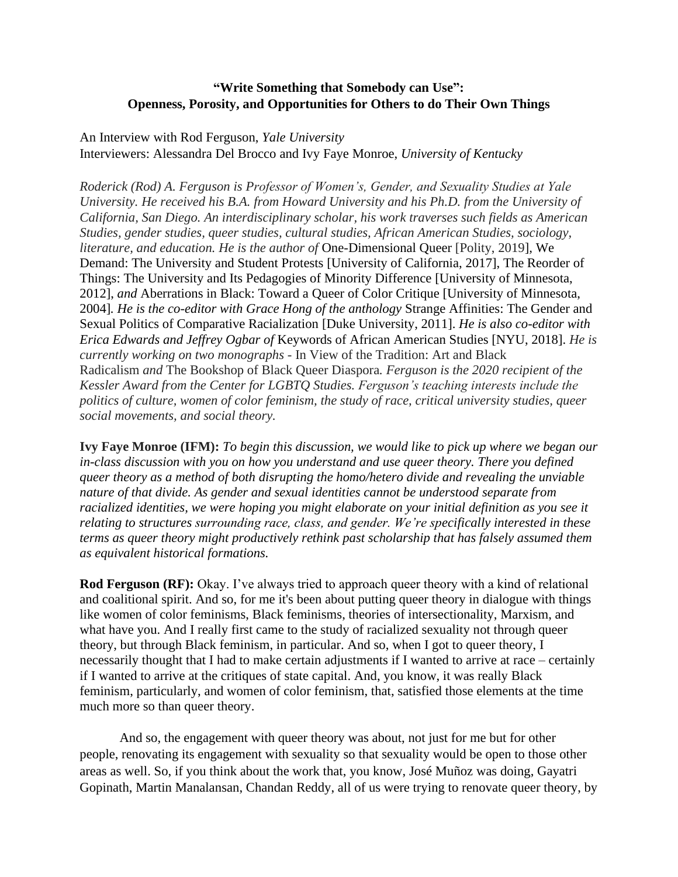### **"Write Something that Somebody can Use": Openness, Porosity, and Opportunities for Others to do Their Own Things**

An Interview with Rod Ferguson, *Yale University* Interviewers: Alessandra Del Brocco and Ivy Faye Monroe, *University of Kentucky*

*Roderick (Rod) A. Ferguson is Professor of Women's, Gender, and Sexuality Studies at Yale University. He received his B.A. from Howard University and his Ph.D. from the University of California, San Diego. An interdisciplinary scholar, his work traverses such fields as American Studies, gender studies, queer studies, cultural studies, African American Studies, sociology, literature, and education. He is the author of* One-Dimensional Queer [Polity, 2019]*,* We Demand: The University and Student Protests [University of California, 2017], The Reorder of Things: The University and Its Pedagogies of Minority Difference [University of Minnesota, 2012], *and* Aberrations in Black: Toward a Queer of Color Critique [University of Minnesota, 2004]*. He is the co-editor with Grace Hong of the anthology* Strange Affinities: The Gender and Sexual Politics of Comparative Racialization [Duke University, 2011]. *He is also co-editor with Erica Edwards and Jeffrey Ogbar of* Keywords of African American Studies [NYU, 2018]. *He is currently working on two monographs -* In View of the Tradition: Art and Black Radicalism *and* The Bookshop of Black Queer Diaspora*. Ferguson is the 2020 recipient of the Kessler Award from the Center for LGBTQ Studies. Ferguson's teaching interests include the politics of culture, women of color feminism, the study of race, critical university studies, queer social movements, and social theory.*

**Ivy Faye Monroe (IFM):** *To begin this discussion, we would like to pick up where we began our in-class discussion with you on how you understand and use queer theory. There you defined queer theory as a method of both disrupting the homo/hetero divide and revealing the unviable nature of that divide. As gender and sexual identities cannot be understood separate from racialized identities, we were hoping you might elaborate on your initial definition as you see it relating to structures surrounding race, class, and gender. We're specifically interested in these terms as queer theory might productively rethink past scholarship that has falsely assumed them as equivalent historical formations.*

**Rod Ferguson (RF):** Okay. I've always tried to approach queer theory with a kind of relational and coalitional spirit. And so, for me it's been about putting queer theory in dialogue with things like women of color feminisms, Black feminisms, theories of intersectionality, Marxism, and what have you. And I really first came to the study of racialized sexuality not through queer theory, but through Black feminism, in particular. And so, when I got to queer theory, I necessarily thought that I had to make certain adjustments if I wanted to arrive at race – certainly if I wanted to arrive at the critiques of state capital. And, you know, it was really Black feminism, particularly, and women of color feminism, that, satisfied those elements at the time much more so than queer theory.

And so, the engagement with queer theory was about, not just for me but for other people, renovating its engagement with sexuality so that sexuality would be open to those other areas as well. So, if you think about the work that, you know, José Muñoz was doing, Gayatri Gopinath, Martin Manalansan, Chandan Reddy, all of us were trying to renovate queer theory, by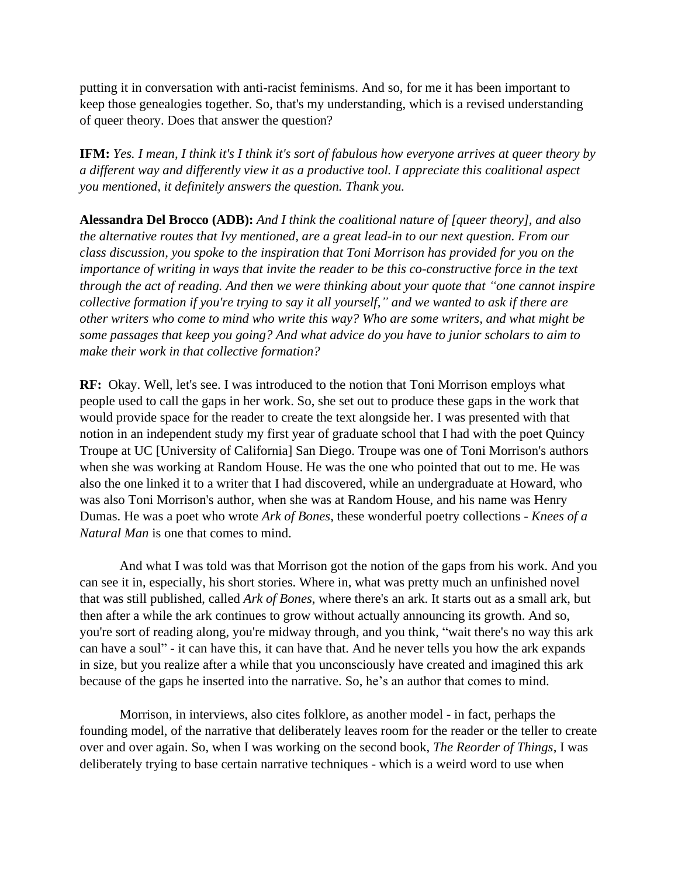putting it in conversation with anti-racist feminisms. And so, for me it has been important to keep those genealogies together. So, that's my understanding, which is a revised understanding of queer theory. Does that answer the question?

**IFM:** *Yes. I mean, I think it's I think it's sort of fabulous how everyone arrives at queer theory by a different way and differently view it as a productive tool. I appreciate this coalitional aspect you mentioned, it definitely answers the question. Thank you.*

**Alessandra Del Brocco (ADB):** *And I think the coalitional nature of [queer theory], and also the alternative routes that Ivy mentioned, are a great lead-in to our next question. From our class discussion, you spoke to the inspiration that Toni Morrison has provided for you on the importance of writing in ways that invite the reader to be this co-constructive force in the text through the act of reading. And then we were thinking about your quote that "one cannot inspire collective formation if you're trying to say it all yourself," and we wanted to ask if there are other writers who come to mind who write this way? Who are some writers, and what might be some passages that keep you going? And what advice do you have to junior scholars to aim to make their work in that collective formation?*

**RF:** Okay. Well, let's see. I was introduced to the notion that Toni Morrison employs what people used to call the gaps in her work. So, she set out to produce these gaps in the work that would provide space for the reader to create the text alongside her. I was presented with that notion in an independent study my first year of graduate school that I had with the poet Quincy Troupe at UC [University of California] San Diego. Troupe was one of Toni Morrison's authors when she was working at Random House. He was the one who pointed that out to me. He was also the one linked it to a writer that I had discovered, while an undergraduate at Howard, who was also Toni Morrison's author, when she was at Random House, and his name was Henry Dumas. He was a poet who wrote *Ark of Bones*, these wonderful poetry collections - *Knees of a Natural Man* is one that comes to mind.

And what I was told was that Morrison got the notion of the gaps from his work. And you can see it in, especially, his short stories. Where in, what was pretty much an unfinished novel that was still published, called *Ark of Bones*, where there's an ark. It starts out as a small ark, but then after a while the ark continues to grow without actually announcing its growth. And so, you're sort of reading along, you're midway through, and you think, "wait there's no way this ark can have a soul" - it can have this, it can have that. And he never tells you how the ark expands in size, but you realize after a while that you unconsciously have created and imagined this ark because of the gaps he inserted into the narrative. So, he's an author that comes to mind.

Morrison, in interviews, also cites folklore, as another model - in fact, perhaps the founding model, of the narrative that deliberately leaves room for the reader or the teller to create over and over again. So, when I was working on the second book, *The Reorder of Things*, I was deliberately trying to base certain narrative techniques - which is a weird word to use when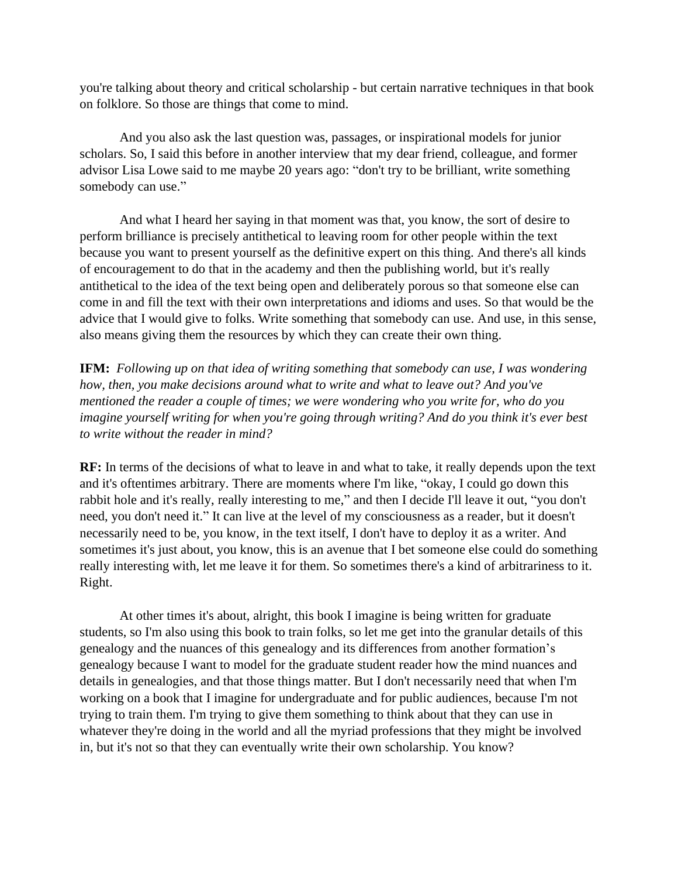you're talking about theory and critical scholarship - but certain narrative techniques in that book on folklore. So those are things that come to mind.

And you also ask the last question was, passages, or inspirational models for junior scholars. So, I said this before in another interview that my dear friend, colleague, and former advisor Lisa Lowe said to me maybe 20 years ago: "don't try to be brilliant, write something somebody can use."

And what I heard her saying in that moment was that, you know, the sort of desire to perform brilliance is precisely antithetical to leaving room for other people within the text because you want to present yourself as the definitive expert on this thing. And there's all kinds of encouragement to do that in the academy and then the publishing world, but it's really antithetical to the idea of the text being open and deliberately porous so that someone else can come in and fill the text with their own interpretations and idioms and uses. So that would be the advice that I would give to folks. Write something that somebody can use. And use, in this sense, also means giving them the resources by which they can create their own thing.

**IFM:** *Following up on that idea of writing something that somebody can use, I was wondering how, then, you make decisions around what to write and what to leave out? And you've mentioned the reader a couple of times; we were wondering who you write for, who do you imagine yourself writing for when you're going through writing? And do you think it's ever best to write without the reader in mind?*

**RF:** In terms of the decisions of what to leave in and what to take, it really depends upon the text and it's oftentimes arbitrary. There are moments where I'm like, "okay, I could go down this rabbit hole and it's really, really interesting to me," and then I decide I'll leave it out, "you don't need, you don't need it." It can live at the level of my consciousness as a reader, but it doesn't necessarily need to be, you know, in the text itself, I don't have to deploy it as a writer. And sometimes it's just about, you know, this is an avenue that I bet someone else could do something really interesting with, let me leave it for them. So sometimes there's a kind of arbitrariness to it. Right.

At other times it's about, alright, this book I imagine is being written for graduate students, so I'm also using this book to train folks, so let me get into the granular details of this genealogy and the nuances of this genealogy and its differences from another formation's genealogy because I want to model for the graduate student reader how the mind nuances and details in genealogies, and that those things matter. But I don't necessarily need that when I'm working on a book that I imagine for undergraduate and for public audiences, because I'm not trying to train them. I'm trying to give them something to think about that they can use in whatever they're doing in the world and all the myriad professions that they might be involved in, but it's not so that they can eventually write their own scholarship. You know?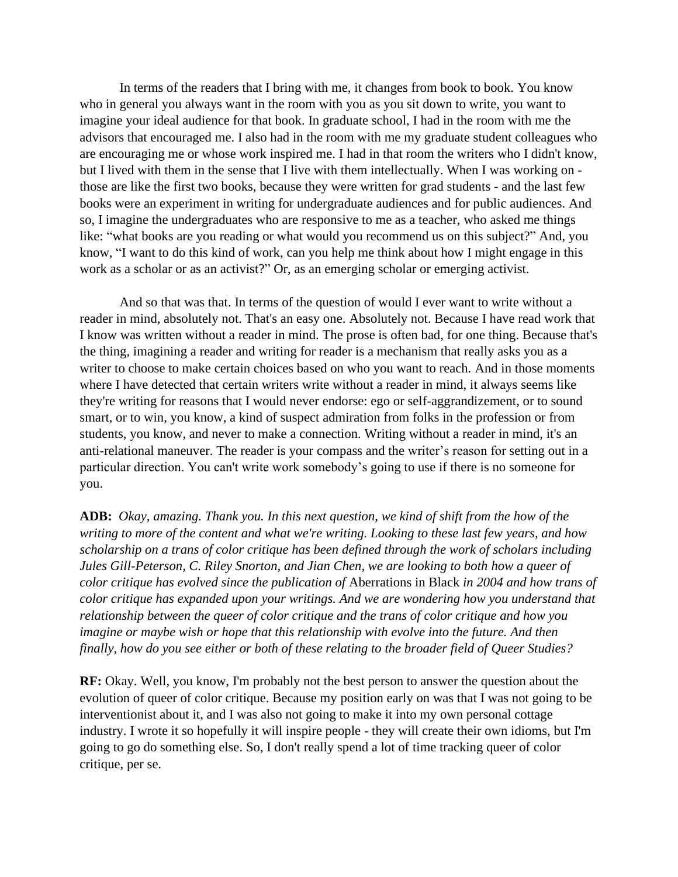In terms of the readers that I bring with me, it changes from book to book. You know who in general you always want in the room with you as you sit down to write, you want to imagine your ideal audience for that book. In graduate school, I had in the room with me the advisors that encouraged me. I also had in the room with me my graduate student colleagues who are encouraging me or whose work inspired me. I had in that room the writers who I didn't know, but I lived with them in the sense that I live with them intellectually. When I was working on those are like the first two books, because they were written for grad students - and the last few books were an experiment in writing for undergraduate audiences and for public audiences. And so, I imagine the undergraduates who are responsive to me as a teacher, who asked me things like: "what books are you reading or what would you recommend us on this subject?" And, you know, "I want to do this kind of work, can you help me think about how I might engage in this work as a scholar or as an activist?" Or, as an emerging scholar or emerging activist.

And so that was that. In terms of the question of would I ever want to write without a reader in mind, absolutely not. That's an easy one. Absolutely not. Because I have read work that I know was written without a reader in mind. The prose is often bad, for one thing. Because that's the thing, imagining a reader and writing for reader is a mechanism that really asks you as a writer to choose to make certain choices based on who you want to reach. And in those moments where I have detected that certain writers write without a reader in mind, it always seems like they're writing for reasons that I would never endorse: ego or self-aggrandizement, or to sound smart, or to win, you know, a kind of suspect admiration from folks in the profession or from students, you know, and never to make a connection. Writing without a reader in mind, it's an anti-relational maneuver. The reader is your compass and the writer's reason for setting out in a particular direction. You can't write work somebody's going to use if there is no someone for you.

**ADB:** *Okay, amazing. Thank you. In this next question, we kind of shift from the how of the writing to more of the content and what we're writing. Looking to these last few years, and how scholarship on a trans of color critique has been defined through the work of scholars including Jules Gill-Peterson, C. Riley Snorton, and Jian Chen, we are looking to both how a queer of color critique has evolved since the publication of* Aberrations in Black *in 2004 and how trans of color critique has expanded upon your writings. And we are wondering how you understand that relationship between the queer of color critique and the trans of color critique and how you imagine or maybe wish or hope that this relationship with evolve into the future. And then finally, how do you see either or both of these relating to the broader field of Queer Studies?*

**RF:** Okay. Well, you know, I'm probably not the best person to answer the question about the evolution of queer of color critique. Because my position early on was that I was not going to be interventionist about it, and I was also not going to make it into my own personal cottage industry. I wrote it so hopefully it will inspire people - they will create their own idioms, but I'm going to go do something else. So, I don't really spend a lot of time tracking queer of color critique, per se.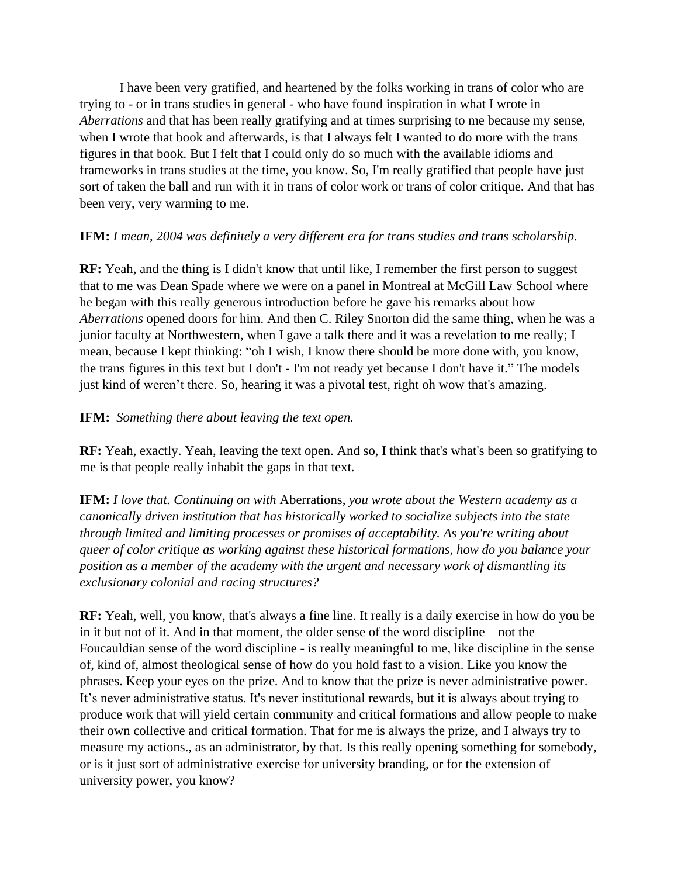I have been very gratified, and heartened by the folks working in trans of color who are trying to - or in trans studies in general - who have found inspiration in what I wrote in *Aberrations* and that has been really gratifying and at times surprising to me because my sense, when I wrote that book and afterwards, is that I always felt I wanted to do more with the trans figures in that book. But I felt that I could only do so much with the available idioms and frameworks in trans studies at the time, you know. So, I'm really gratified that people have just sort of taken the ball and run with it in trans of color work or trans of color critique. And that has been very, very warming to me.

### **IFM:** *I mean, 2004 was definitely a very different era for trans studies and trans scholarship.*

**RF:** Yeah, and the thing is I didn't know that until like, I remember the first person to suggest that to me was Dean Spade where we were on a panel in Montreal at McGill Law School where he began with this really generous introduction before he gave his remarks about how *Aberrations* opened doors for him. And then C. Riley Snorton did the same thing, when he was a junior faculty at Northwestern, when I gave a talk there and it was a revelation to me really; I mean, because I kept thinking: "oh I wish, I know there should be more done with, you know, the trans figures in this text but I don't - I'm not ready yet because I don't have it." The models just kind of weren't there. So, hearing it was a pivotal test, right oh wow that's amazing.

#### **IFM:** *Something there about leaving the text open.*

**RF:** Yeah, exactly. Yeah, leaving the text open. And so, I think that's what's been so gratifying to me is that people really inhabit the gaps in that text.

**IFM:** *I love that. Continuing on with* Aberrations, *you wrote about the Western academy as a canonically driven institution that has historically worked to socialize subjects into the state through limited and limiting processes or promises of acceptability. As you're writing about queer of color critique as working against these historical formations, how do you balance your position as a member of the academy with the urgent and necessary work of dismantling its exclusionary colonial and racing structures?*

**RF:** Yeah, well, you know, that's always a fine line. It really is a daily exercise in how do you be in it but not of it. And in that moment, the older sense of the word discipline – not the Foucauldian sense of the word discipline - is really meaningful to me, like discipline in the sense of, kind of, almost theological sense of how do you hold fast to a vision. Like you know the phrases. Keep your eyes on the prize. And to know that the prize is never administrative power. It's never administrative status. It's never institutional rewards, but it is always about trying to produce work that will yield certain community and critical formations and allow people to make their own collective and critical formation. That for me is always the prize, and I always try to measure my actions., as an administrator, by that. Is this really opening something for somebody, or is it just sort of administrative exercise for university branding, or for the extension of university power, you know?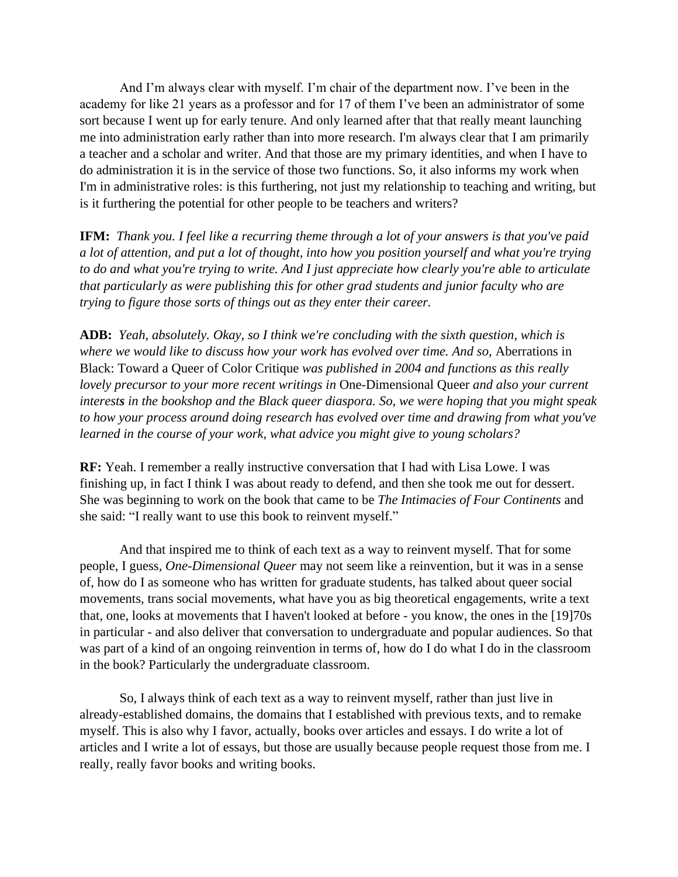And I'm always clear with myself. I'm chair of the department now. I've been in the academy for like 21 years as a professor and for 17 of them I've been an administrator of some sort because I went up for early tenure. And only learned after that that really meant launching me into administration early rather than into more research. I'm always clear that I am primarily a teacher and a scholar and writer. And that those are my primary identities, and when I have to do administration it is in the service of those two functions. So, it also informs my work when I'm in administrative roles: is this furthering, not just my relationship to teaching and writing, but is it furthering the potential for other people to be teachers and writers?

**IFM:** *Thank you. I feel like a recurring theme through a lot of your answers is that you've paid a lot of attention, and put a lot of thought, into how you position yourself and what you're trying to do and what you're trying to write. And I just appreciate how clearly you're able to articulate that particularly as were publishing this for other grad students and junior faculty who are trying to figure those sorts of things out as they enter their career.*

**ADB:** *Yeah, absolutely. Okay, so I think we're concluding with the sixth question, which is where we would like to discuss how your work has evolved over time. And so,* Aberrations in Black: Toward a Queer of Color Critique *was published in 2004 and functions as this really lovely precursor to your more recent writings in* One-Dimensional Queer *and also your current interests in the bookshop and the Black queer diaspora. So, we were hoping that you might speak to how your process around doing research has evolved over time and drawing from what you've learned in the course of your work, what advice you might give to young scholars?*

**RF:** Yeah. I remember a really instructive conversation that I had with Lisa Lowe. I was finishing up, in fact I think I was about ready to defend, and then she took me out for dessert. She was beginning to work on the book that came to be *The Intimacies of Four Continents* and she said: "I really want to use this book to reinvent myself."

And that inspired me to think of each text as a way to reinvent myself. That for some people, I guess*, One-Dimensional Queer* may not seem like a reinvention, but it was in a sense of, how do I as someone who has written for graduate students, has talked about queer social movements, trans social movements, what have you as big theoretical engagements, write a text that, one, looks at movements that I haven't looked at before - you know, the ones in the [19]70s in particular - and also deliver that conversation to undergraduate and popular audiences. So that was part of a kind of an ongoing reinvention in terms of, how do I do what I do in the classroom in the book? Particularly the undergraduate classroom.

So, I always think of each text as a way to reinvent myself, rather than just live in already-established domains, the domains that I established with previous texts, and to remake myself. This is also why I favor, actually, books over articles and essays. I do write a lot of articles and I write a lot of essays, but those are usually because people request those from me. I really, really favor books and writing books.